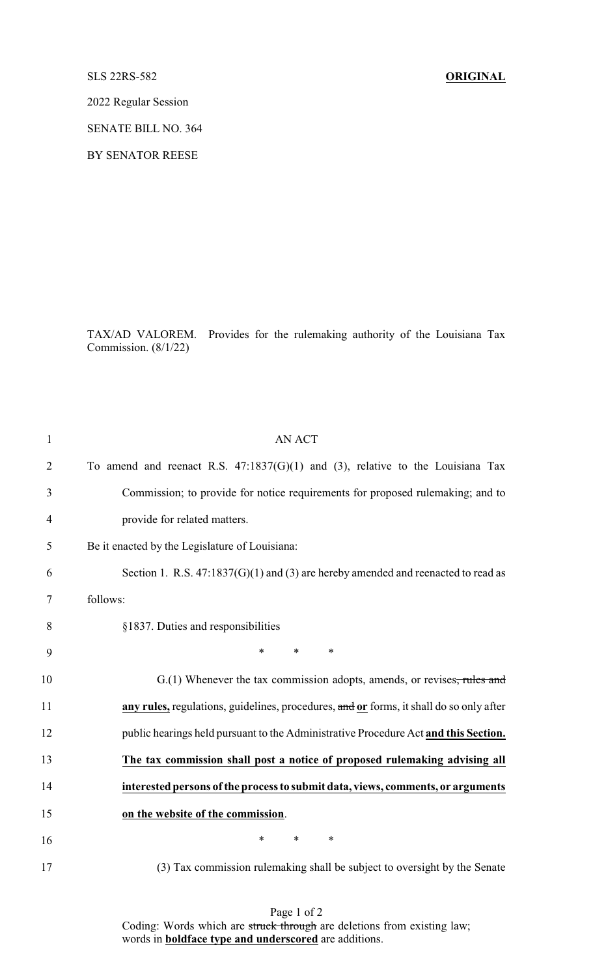## SLS 22RS-582 **ORIGINAL**

2022 Regular Session

SENATE BILL NO. 364

BY SENATOR REESE

TAX/AD VALOREM. Provides for the rulemaking authority of the Louisiana Tax Commission. (8/1/22)

| 1              | <b>AN ACT</b>                                                                           |
|----------------|-----------------------------------------------------------------------------------------|
| $\overline{2}$ | To amend and reenact R.S. $47:1837(G)(1)$ and (3), relative to the Louisiana Tax        |
| 3              | Commission; to provide for notice requirements for proposed rulemaking; and to          |
| $\overline{4}$ | provide for related matters.                                                            |
| 5              | Be it enacted by the Legislature of Louisiana:                                          |
| 6              | Section 1. R.S. $47:1837(G)(1)$ and (3) are hereby amended and reenacted to read as     |
| 7              | follows:                                                                                |
| 8              | §1837. Duties and responsibilities                                                      |
| 9              | *<br>$\ast$<br>$\ast$                                                                   |
| 10             | G.(1) Whenever the tax commission adopts, amends, or revises <del>, rules and</del>     |
| 11             | any rules, regulations, guidelines, procedures, and or forms, it shall do so only after |
| 12             | public hearings held pursuant to the Administrative Procedure Act and this Section.     |
| 13             | The tax commission shall post a notice of proposed rulemaking advising all              |
| 14             | interested persons of the process to submit data, views, comments, or arguments         |
| 15             | on the website of the commission.                                                       |
| 16             | $\ast$<br>$\ast$<br>∗                                                                   |
| 17             | (3) Tax commission rulemaking shall be subject to oversight by the Senate               |

Page 1 of 2 Coding: Words which are struck through are deletions from existing law; words in **boldface type and underscored** are additions.